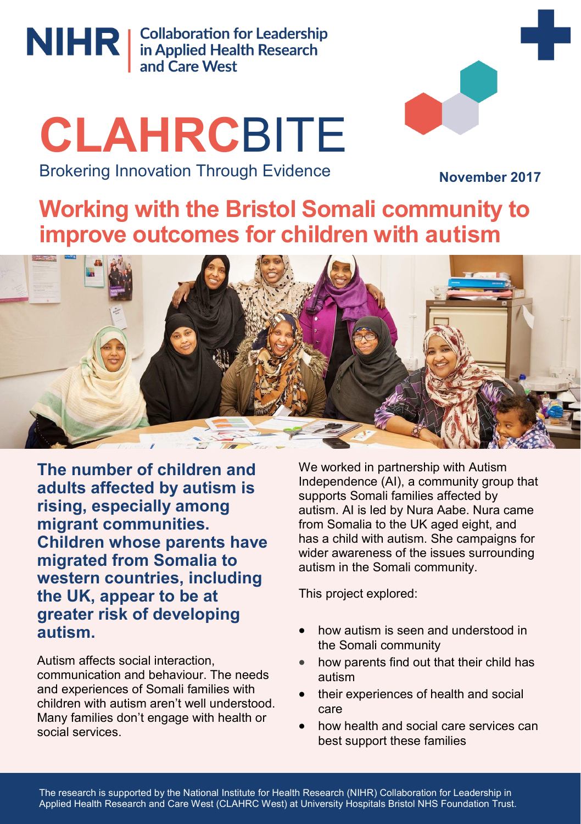

NIHR | Collaboration for Leadership<br>
in Applied Health Research<br>
and Care West

# **CLAHRC**BITE



Brokering Innovation Through Evidence

**November 2017**

**Working with the Bristol Somali community to improve outcomes for children with autism**



**The number of children and adults affected by autism is rising, especially among migrant communities. Children whose parents have migrated from Somalia to western countries, including the UK, appear to be at greater risk of developing autism.** 

Autism affects social interaction, communication and behaviour. The needs and experiences of Somali families with children with autism aren't well understood. Many families don't engage with health or social services.

We worked in partnership with Autism Independence (AI), a community group that supports Somali families affected by autism. AI is led by Nura Aabe. Nura came from Somalia to the UK aged eight, and has a child with autism. She campaigns for wider awareness of the issues surrounding autism in the Somali community.

This project explored:

- how autism is seen and understood in the Somali community
- how parents find out that their child has autism
- their experiences of health and social care
- how health and social care services can best support these families